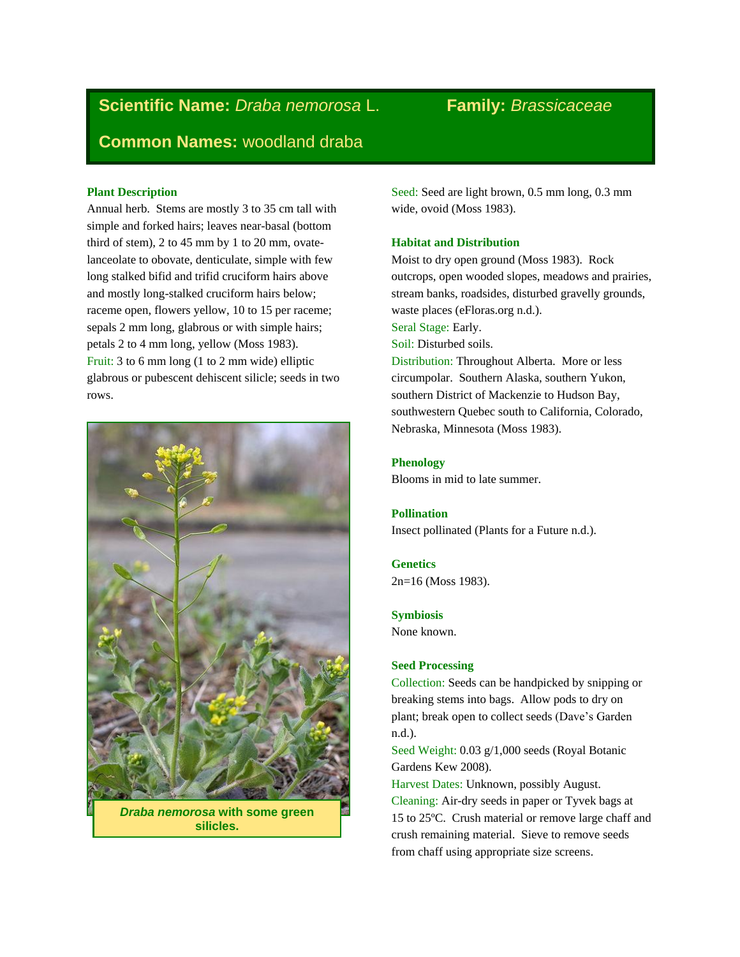# **Scientific Name:** *Draba nemorosa* L. **Family:** *Brassicaceae* **Common Names:** woodland draba

# **Plant Description**

Annual herb. Stems are mostly 3 to 35 cm tall with simple and forked hairs; leaves near-basal (bottom third of stem), 2 to 45 mm by 1 to 20 mm, ovatelanceolate to obovate, denticulate, simple with few long stalked bifid and trifid cruciform hairs above and mostly long-stalked cruciform hairs below; raceme open, flowers yellow, 10 to 15 per raceme; sepals 2 mm long, glabrous or with simple hairs; petals 2 to 4 mm long, yellow (Moss 1983). Fruit: 3 to 6 mm long (1 to 2 mm wide) elliptic glabrous or pubescent dehiscent silicle; seeds in two rows.



*Draba nemorosa* **with some green silicles.** 

Seed: Seed are light brown, 0.5 mm long, 0.3 mm wide, ovoid (Moss 1983).

# **Habitat and Distribution**

Moist to dry open ground (Moss 1983). Rock outcrops, open wooded slopes, meadows and prairies, stream banks, roadsides, disturbed gravelly grounds, waste places (eFloras.org n.d.). Seral Stage: Early. Soil: Disturbed soils. Distribution: Throughout Alberta. More or less circumpolar. Southern Alaska, southern Yukon, southern District of Mackenzie to Hudson Bay, southwestern Quebec south to California, Colorado, Nebraska, Minnesota (Moss 1983).

# **Phenology**

Blooms in mid to late summer.

#### **Pollination**

Insect pollinated (Plants for a Future n.d.).

# **Genetics**

2n=16 (Moss 1983).

### **Symbiosis**

None known.

# **Seed Processing**

Collection: Seeds can be handpicked by snipping or breaking stems into bags. Allow pods to dry on plant; break open to collect seeds (Dave's Garden n.d.).

Seed Weight: 0.03 g/1,000 seeds (Royal Botanic Gardens Kew 2008).

Harvest Dates: Unknown, possibly August. Cleaning: Air-dry seeds in paper or Tyvek bags at 15 to 25ºC. Crush material or remove large chaff and crush remaining material. Sieve to remove seeds from chaff using appropriate size screens.